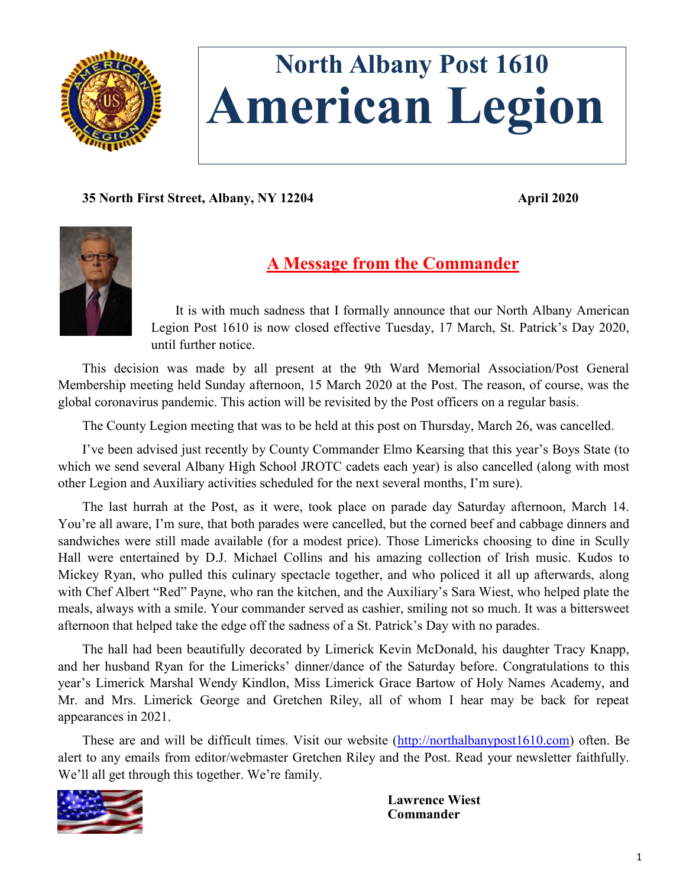

# **North Albany Post 1610 American Legion**

**35 North First Street, Albany, NY 12204 April 2020**



## **A Message from the Commander**

It is with much sadness that I formally announce that our North Albany American Legion Post 1610 is now closed effective Tuesday, 17 March, St. Patrick's Day 2020, until further notice.

This decision was made by all present at the 9th Ward Memorial Association/Post General Membership meeting held Sunday afternoon, 15 March 2020 at the Post. The reason, of course, was the global coronavirus pandemic. This action will be revisited by the Post officers on a regular basis.

The County Legion meeting that was to be held at this post on Thursday, March 26, was cancelled.

I've been advised just recently by County Commander Elmo Kearsing that this year's Boys State (to which we send several Albany High School JROTC cadets each year) is also cancelled (along with most other Legion and Auxiliary activities scheduled for the next several months, I'm sure).

The last hurrah at the Post, as it were, took place on parade day Saturday afternoon, March 14. You're all aware, I'm sure, that both parades were cancelled, but the corned beef and cabbage dinners and sandwiches were still made available (for a modest price). Those Limericks choosing to dine in Scully Hall were entertained by D.J. Michael Collins and his amazing collection of Irish music. Kudos to Mickey Ryan, who pulled this culinary spectacle together, and who policed it all up afterwards, along with Chef Albert "Red" Payne, who ran the kitchen, and the Auxiliary's Sara Wiest, who helped plate the meals, always with a smile. Your commander served as cashier, smiling not so much. It was a bittersweet afternoon that helped take the edge off the sadness of a St. Patrick's Day with no parades.

The hall had been beautifully decorated by Limerick Kevin McDonald, his daughter Tracy Knapp, and her husband Ryan for the Limericks' dinner/dance of the Saturday before. Congratulations to this year's Limerick Marshal Wendy Kindlon, Miss Limerick Grace Bartow of Holy Names Academy, and Mr. and Mrs. Limerick George and Gretchen Riley, all of whom I hear may be back for repeat appearances in 2021.

These are and will be difficult times. Visit our website ([http://northalbanypost1610.com\)](http://northalbanypost1610.com) often. Be alert to any emails from editor/webmaster Gretchen Riley and the Post. Read your newsletter faithfully. We'll all get through this together. We're family.



**Lawrence Wiest Commander**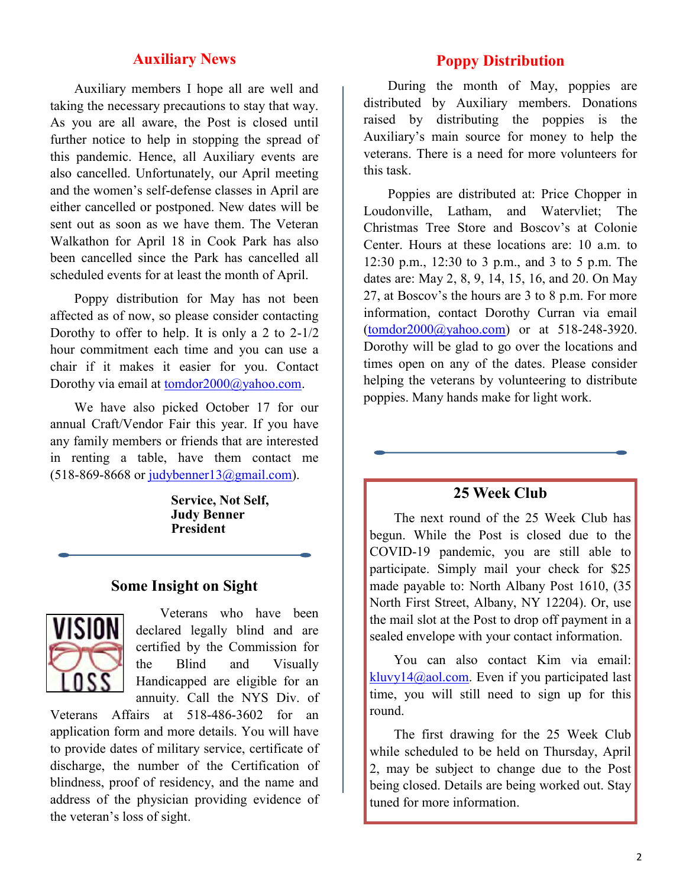#### **Auxiliary News**

Auxiliary members I hope all are well and taking the necessary precautions to stay that way. As you are all aware, the Post is closed until further notice to help in stopping the spread of this pandemic. Hence, all Auxiliary events are also cancelled. Unfortunately, our April meeting and the women's self-defense classes in April are either cancelled or postponed. New dates will be sent out as soon as we have them. The Veteran Walkathon for April 18 in Cook Park has also been cancelled since the Park has cancelled all scheduled events for at least the month of April.

Poppy distribution for May has not been affected as of now, so please consider contacting Dorothy to offer to help. It is only a 2 to 2-1/2 hour commitment each time and you can use a chair if it makes it easier for you. Contact Dorothy via email at [tomdor2000@yahoo.com.](mailto:tomdor2000@yahoo.com)

We have also picked October 17 for our annual Craft/Vendor Fair this year. If you have any family members or friends that are interested in renting a table, have them contact me  $(518-869-8668)$  or judybenner $13@gmail.com$ .

> **Service, Not Self, Judy Benner President**

#### **Some Insight on Sight**



Veterans who have been declared legally blind and are certified by the Commission for the Blind and Visually Handicapped are eligible for an annuity. Call the NYS Div. of

Veterans Affairs at 518-486-3602 for an application form and more details. You will have to provide dates of military service, certificate of discharge, the number of the Certification of blindness, proof of residency, and the name and address of the physician providing evidence of the veteran's loss of sight.

#### **Poppy Distribution**

During the month of May, poppies are distributed by Auxiliary members. Donations raised by distributing the poppies is the Auxiliary's main source for money to help the veterans. There is a need for more volunteers for this task.

Poppies are distributed at: Price Chopper in Loudonville, Latham, and Watervliet; The Christmas Tree Store and Boscov's at Colonie Center. Hours at these locations are: 10 a.m. to 12:30 p.m., 12:30 to 3 p.m., and 3 to 5 p.m. The dates are: May 2, 8, 9, 14, 15, 16, and 20. On May 27, at Boscov's the hours are 3 to 8 p.m. For more information, contact Dorothy Curran via email ([tomdor2000@yahoo.com\)](mailto:tomdor2000@yahoo.com) or at 518-248-3920. Dorothy will be glad to go over the locations and times open on any of the dates. Please consider helping the veterans by volunteering to distribute poppies. Many hands make for light work.

#### **25 Week Club**

The next round of the 25 Week Club has begun. While the Post is closed due to the COVID-19 pandemic, you are still able to participate. Simply mail your check for \$25 made payable to: North Albany Post 1610, (35 North First Street, Albany, NY 12204). Or, use the mail slot at the Post to drop off payment in a sealed envelope with your contact information.

You can also contact Kim via email: [kluvy14@aol.com.](mailto:kluvy14@aol.com) Even if you participated last time, you will still need to sign up for this round.

The first drawing for the 25 Week Club while scheduled to be held on Thursday, April 2, may be subject to change due to the Post being closed. Details are being worked out. Stay tuned for more information.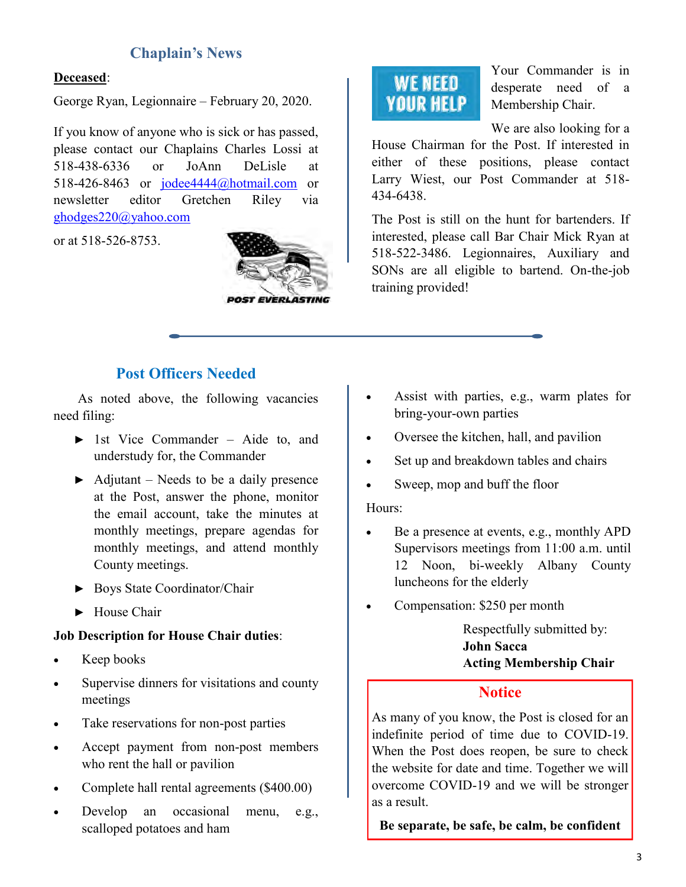### **Chaplain's News**

#### **Deceased**:

George Ryan, Legionnaire – February 20, 2020.

If you know of anyone who is sick or has passed, please contact our Chaplains Charles Lossi at 518-438-6336 or JoAnn DeLisle at 518-426-8463 or [jodee4444@hotmail.com](mailto:jodee4444@hotmail.com) or newsletter editor Gretchen Riley via [ghodges220@yahoo.com](mailto:ghodges220@yahoo.com)

or at 518-526-8753.



# **WE NEED YOUR HELP**

Your Commander is in desperate need of a Membership Chair.

We are also looking for a

House Chairman for the Post. If interested in either of these positions, please contact Larry Wiest, our Post Commander at 518- 434-6438.

The Post is still on the hunt for bartenders. If interested, please call Bar Chair Mick Ryan at 518-522-3486. Legionnaires, Auxiliary and SONs are all eligible to bartend. On-the-job training provided!

#### **Post Officers Needed**

As noted above, the following vacancies need filing:

- ► 1st Vice Commander Aide to, and understudy for, the Commander
- $\blacktriangleright$  Adjutant Needs to be a daily presence at the Post, answer the phone, monitor the email account, take the minutes at monthly meetings, prepare agendas for monthly meetings, and attend monthly County meetings.
- ► Boys State Coordinator/Chair
- ► House Chair

#### **Job Description for House Chair duties**:

- Keep books
- Supervise dinners for visitations and county meetings
- Take reservations for non-post parties
- Accept payment from non-post members who rent the hall or pavilion
- Complete hall rental agreements (\$400.00)
- Develop an occasional menu, e.g., scalloped potatoes and ham
- Assist with parties, e.g., warm plates for bring-your-own parties
- Oversee the kitchen, hall, and pavilion
- Set up and breakdown tables and chairs
- Sweep, mop and buff the floor

#### Hours:

- Be a presence at events, e.g., monthly APD Supervisors meetings from 11:00 a.m. until 12 Noon, bi-weekly Albany County luncheons for the elderly
- Compensation: \$250 per month

Respectfully submitted by: **John Sacca Acting Membership Chair**

#### **Notice**

As many of you know, the Post is closed for an indefinite period of time due to COVID-19. When the Post does reopen, be sure to check the website for date and time. Together we will overcome COVID-19 and we will be stronger as a result.

**Be separate, be safe, be calm, be confident**